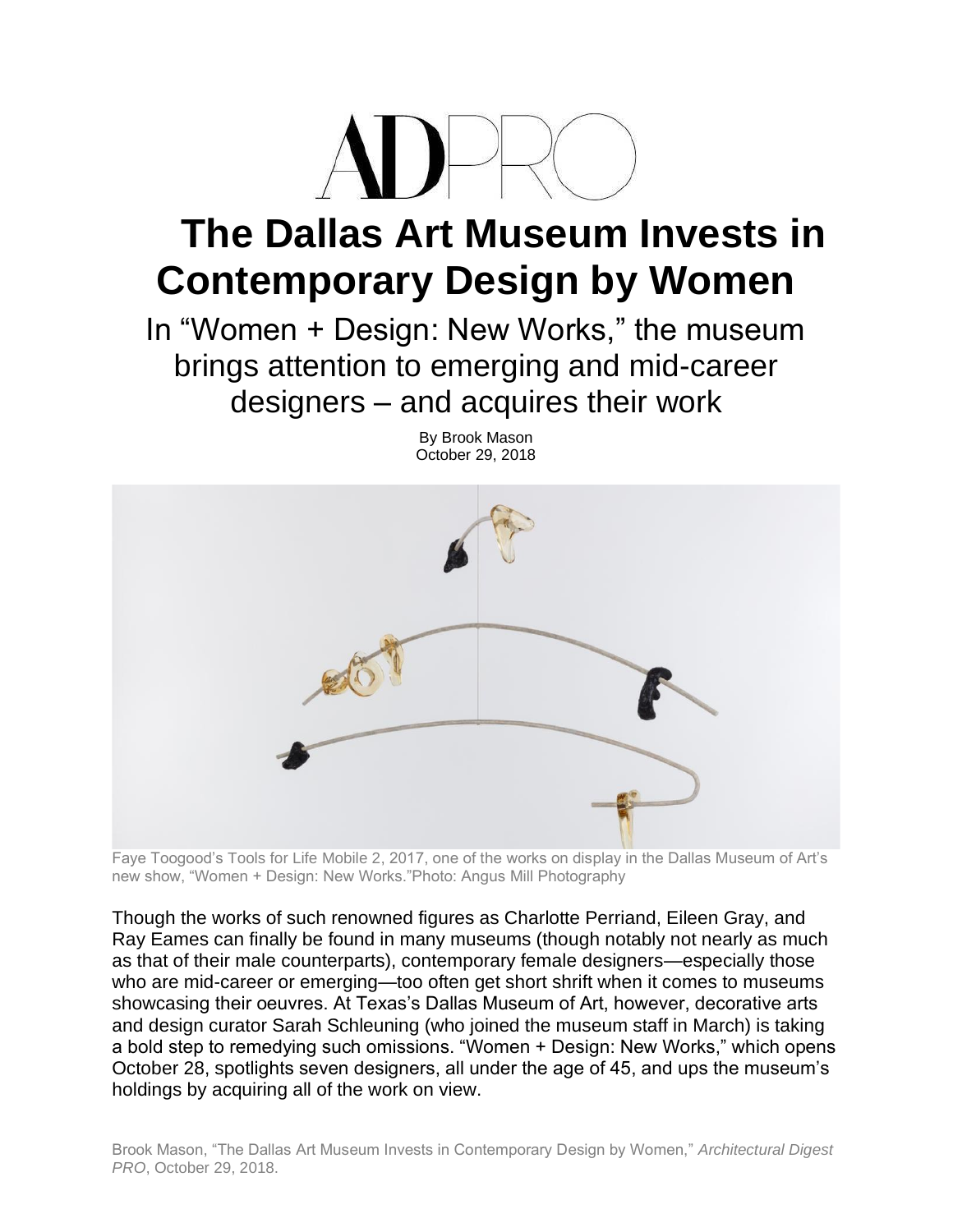

## **The Dallas Art Museum Invests in Contemporary Design by Women**

In "Women + Design: New Works," the museum brings attention to emerging and mid-career designers – and acquires their work

By Brook Mason



Faye Toogood's Tools for Life Mobile 2, 2017, one of the works on display in the Dallas Museum of Art's new show, "Women + Design: New Works."Photo: Angus Mill Photography

Though the works of such renowned figures as Charlotte Perriand, Eileen Gray, and Ray Eames can finally be found in many museums (though notably not nearly as much as that of their male counterparts), contemporary female designers—especially those who are mid-career or emerging—too often get short shrift when it comes to museums showcasing their oeuvres. At Texas's Dallas Museum of Art, however, decorative arts and design curator Sarah Schleuning (who joined the museum staff in March) is taking a bold step to remedying such omissions. "Women + Design: New Works," which opens October 28, spotlights seven designers, all under the age of 45, and ups the museum's holdings by acquiring all of the work on view.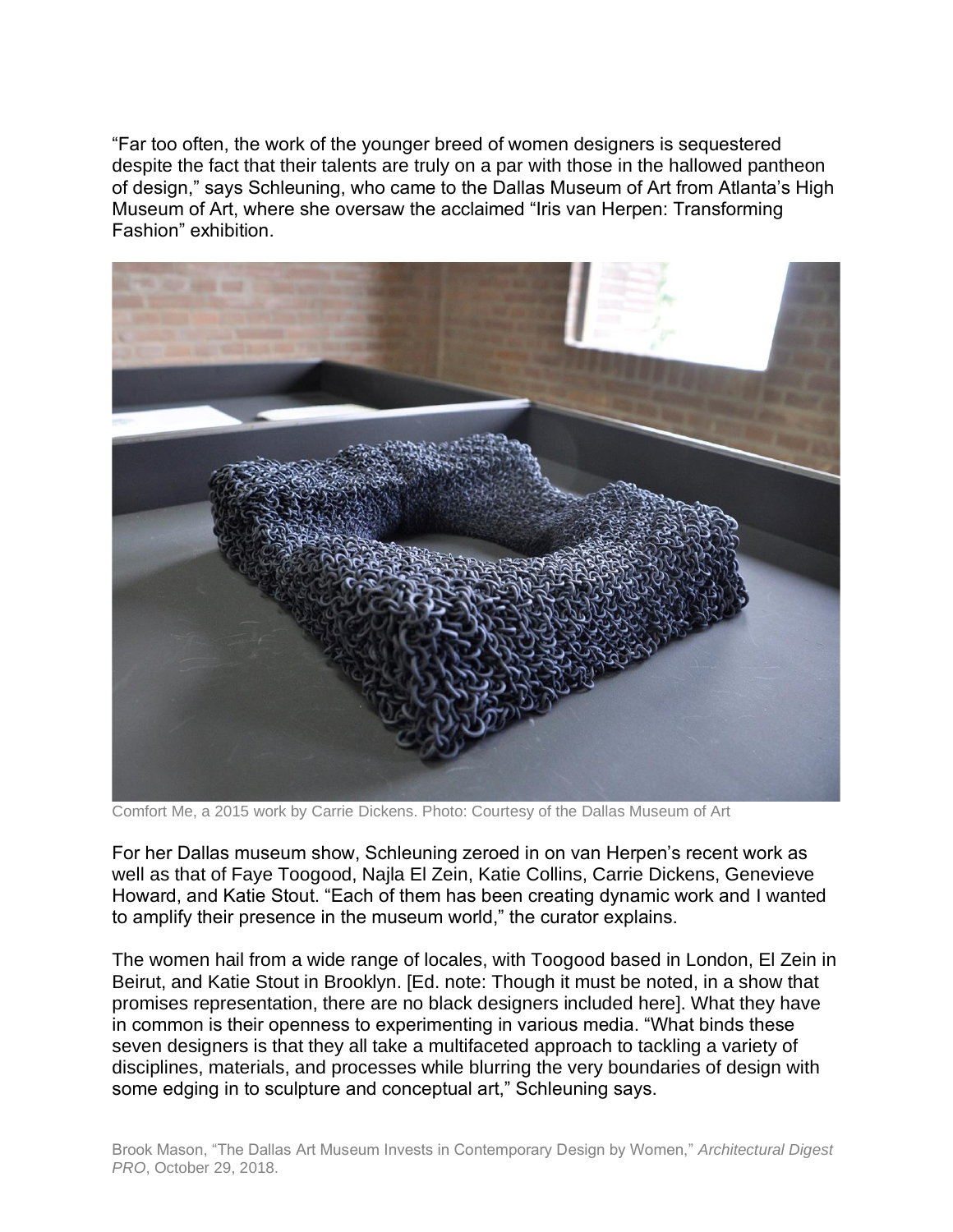"Far too often, the work of the younger breed of women designers is sequestered despite the fact that their talents are truly on a par with those in the hallowed pantheon of design," says Schleuning, who came to the Dallas Museum of Art from Atlanta's High Museum of Art, where she oversaw the acclaimed "Iris van Herpen: Transforming Fashion" exhibition.



Comfort Me, a 2015 work by Carrie Dickens. Photo: Courtesy of the Dallas Museum of Art

For her Dallas museum show, Schleuning zeroed in on van Herpen's recent work as well as that of Faye Toogood, Najla El Zein, Katie Collins, Carrie Dickens, Genevieve Howard, and Katie Stout. "Each of them has been creating dynamic work and I wanted to amplify their presence in the museum world," the curator explains.

The women hail from a wide range of locales, with Toogood based in London, El Zein in Beirut, and Katie Stout in Brooklyn. [Ed. note: Though it must be noted, in a show that promises representation, there are no black designers included here]. What they have in common is their openness to experimenting in various media. "What binds these seven designers is that they all take a multifaceted approach to tackling a variety of disciplines, materials, and processes while blurring the very boundaries of design with some edging in to sculpture and conceptual art," Schleuning says.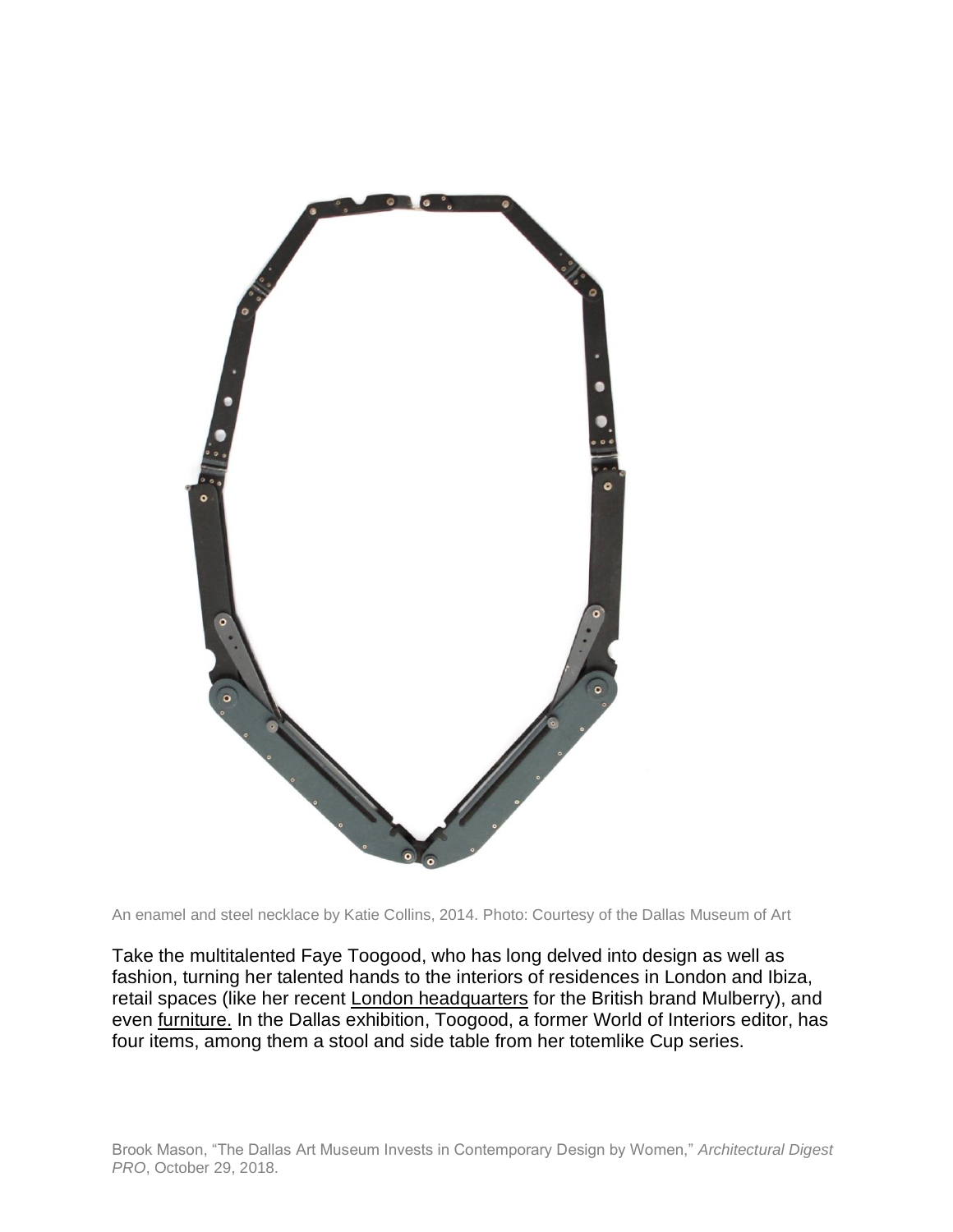

An enamel and steel necklace by Katie Collins, 2014. Photo: Courtesy of the Dallas Museum of Art

Take the multitalented Faye Toogood, who has long delved into design as well as fashion, turning her talented hands to the interiors of residences in London and Ibiza, retail spaces (like her recent [London headquarters](https://www.architecturaldigest.com/story/faye-toogood-mulberry-regent-street-london) for the British brand Mulberry), and even [furniture.](https://www.architecturaldigest.com/story/faye-toogood-furnishings-line) In the Dallas exhibition, Toogood, a former World of Interiors editor, has four items, among them a stool and side table from her totemlike Cup series.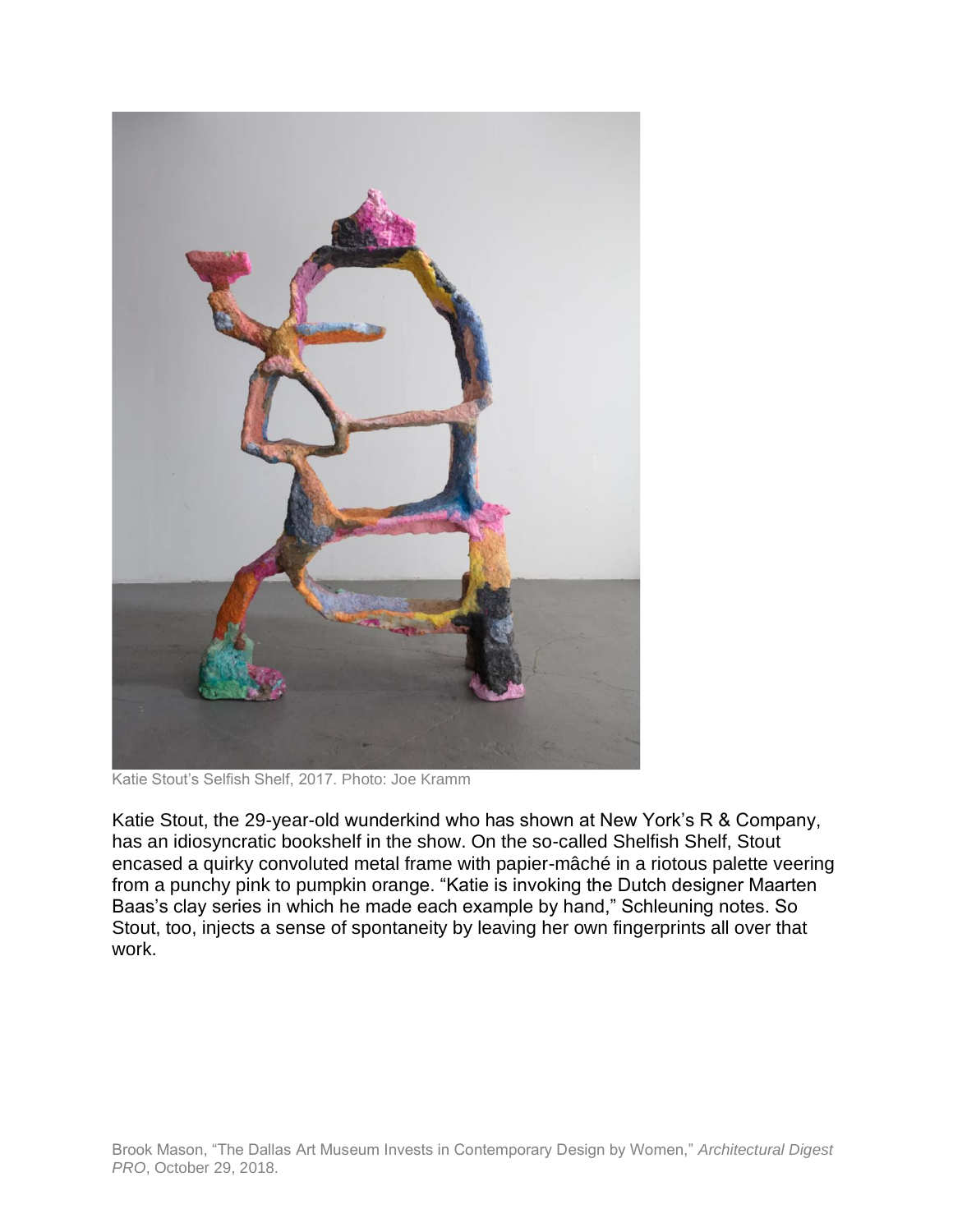

Katie Stout's Selfish Shelf, 2017. Photo: Joe Kramm

Katie Stout, the 29-year-old wunderkind who has shown at New York's R & Company, has an idiosyncratic bookshelf in the show. On the so-called Shelfish Shelf, Stout encased a quirky convoluted metal frame with papier-mâché in a riotous palette veering from a punchy pink to pumpkin orange. "Katie is invoking the Dutch designer Maarten Baas's clay series in which he made each example by hand," Schleuning notes. So Stout, too, injects a sense of spontaneity by leaving her own fingerprints all over that work.